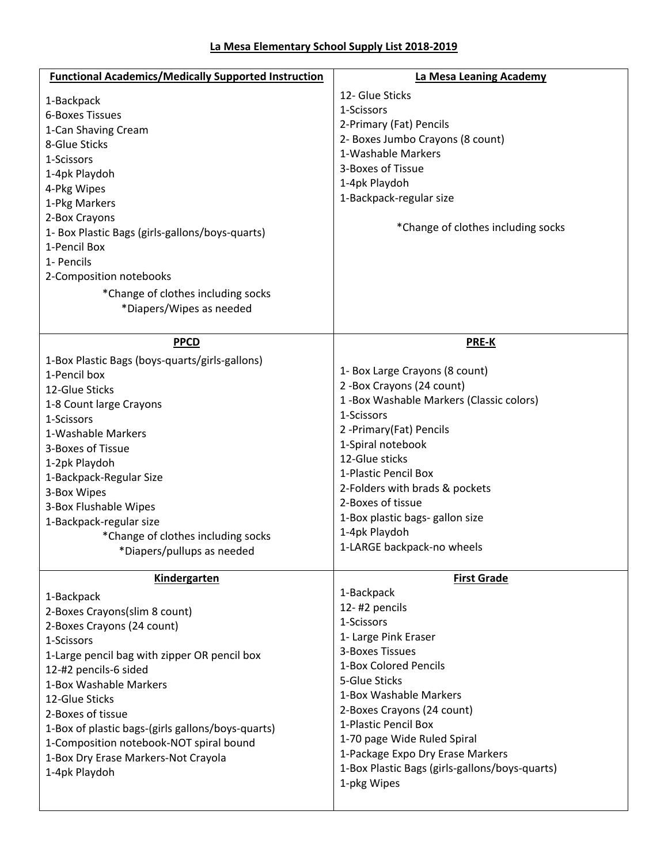| La Mesa Elementary School Supply List 2018-2019 |  |  |  |  |  |  |  |
|-------------------------------------------------|--|--|--|--|--|--|--|
|-------------------------------------------------|--|--|--|--|--|--|--|

| <b>Functional Academics/Medically Supported Instruction</b> | La Mesa Leaning Academy                        |
|-------------------------------------------------------------|------------------------------------------------|
| 1-Backpack                                                  | 12- Glue Sticks                                |
| <b>6-Boxes Tissues</b>                                      | 1-Scissors                                     |
| 1-Can Shaving Cream                                         | 2-Primary (Fat) Pencils                        |
| 8-Glue Sticks                                               | 2- Boxes Jumbo Crayons (8 count)               |
| 1-Scissors                                                  | 1-Washable Markers                             |
| 1-4pk Playdoh                                               | 3-Boxes of Tissue                              |
| 4-Pkg Wipes                                                 | 1-4pk Playdoh                                  |
| 1-Pkg Markers                                               | 1-Backpack-regular size                        |
| 2-Box Crayons                                               |                                                |
| 1- Box Plastic Bags (girls-gallons/boys-quarts)             | *Change of clothes including socks             |
| 1-Pencil Box                                                |                                                |
| 1- Pencils                                                  |                                                |
| 2-Composition notebooks                                     |                                                |
| *Change of clothes including socks                          |                                                |
| *Diapers/Wipes as needed                                    |                                                |
|                                                             |                                                |
| <b>PPCD</b>                                                 | <b>PRE-K</b>                                   |
| 1-Box Plastic Bags (boys-quarts/girls-gallons)              |                                                |
| 1-Pencil box                                                | 1- Box Large Crayons (8 count)                 |
| 12-Glue Sticks                                              | 2-Box Crayons (24 count)                       |
| 1-8 Count large Crayons                                     | 1-Box Washable Markers (Classic colors)        |
| 1-Scissors                                                  | 1-Scissors                                     |
| 1-Washable Markers                                          | 2 - Primary (Fat) Pencils                      |
| 3-Boxes of Tissue                                           | 1-Spiral notebook                              |
| 1-2pk Playdoh                                               | 12-Glue sticks                                 |
| 1-Backpack-Regular Size                                     | 1-Plastic Pencil Box                           |
| 3-Box Wipes                                                 | 2-Folders with brads & pockets                 |
| 3-Box Flushable Wipes                                       | 2-Boxes of tissue                              |
| 1-Backpack-regular size                                     | 1-Box plastic bags- gallon size                |
| *Change of clothes including socks                          | 1-4pk Playdoh                                  |
| *Diapers/pullups as needed                                  | 1-LARGE backpack-no wheels                     |
|                                                             |                                                |
| Kindergarten                                                | <b>First Grade</b>                             |
| 1-Backpack                                                  | 1-Backpack                                     |
| 2-Boxes Crayons(slim 8 count)                               | 12-#2 pencils<br>1-Scissors                    |
| 2-Boxes Crayons (24 count)                                  | 1- Large Pink Eraser                           |
| 1-Scissors                                                  | 3-Boxes Tissues                                |
| 1-Large pencil bag with zipper OR pencil box                | 1-Box Colored Pencils                          |
| 12-#2 pencils-6 sided                                       | 5-Glue Sticks                                  |
| 1-Box Washable Markers                                      | 1-Box Washable Markers                         |
| 12-Glue Sticks                                              | 2-Boxes Crayons (24 count)                     |
| 2-Boxes of tissue                                           | 1-Plastic Pencil Box                           |
| 1-Box of plastic bags-(girls gallons/boys-quarts)           | 1-70 page Wide Ruled Spiral                    |
| 1-Composition notebook-NOT spiral bound                     | 1-Package Expo Dry Erase Markers               |
| 1-Box Dry Erase Markers-Not Crayola                         | 1-Box Plastic Bags (girls-gallons/boys-quarts) |
| 1-4pk Playdoh                                               | 1-pkg Wipes                                    |
|                                                             |                                                |
|                                                             |                                                |